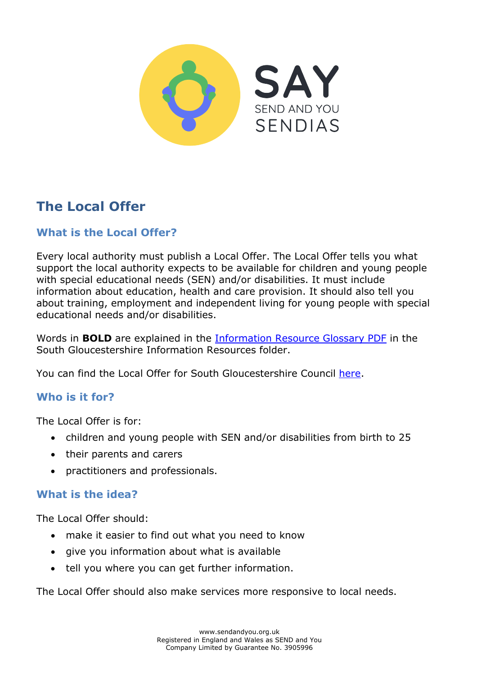

# **The Local Offer**

# **What is the Local Offer?**

Every local authority must publish a Local Offer. The Local Offer tells you what support the local authority expects to be available for children and young people with special educational needs (SEN) and/or disabilities. It must include information about education, health and care provision. It should also tell you about training, employment and independent living for young people with special educational needs and/or disabilities.

Words in **BOLD** are explained in the [Information Resource Glossary PDF](https://www.sendandyou.org.uk/wp-content/uploads/2021/08/Information-Resource-Glossary-REVISED2-new.pdf) in the South Gloucestershire Information Resources folder.

You can find the Local Offer for South Gloucestershire Council [here.](http://www.southglos.gov.uk/health-and-social-care/local-offer/)

## **Who is it for?**

The Local Offer is for:

- children and young people with SEN and/or disabilities from birth to 25
- their parents and carers
- practitioners and professionals.

#### **What is the idea?**

The Local Offer should:

- make it easier to find out what you need to know
- give you information about what is available
- tell you where you can get further information.

The Local Offer should also make services more responsive to local needs.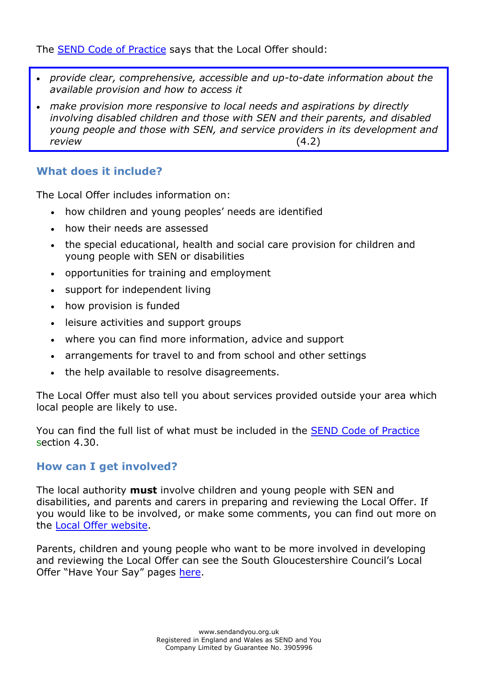The [SEND Code of Practice](https://www.gov.uk/government/publications/send-code-of-practice-0-to-25) says that the Local Offer should:

- *provide clear, comprehensive, accessible and up-to-date information about the available provision and how to access it*
- *make provision more responsive to local needs and aspirations by directly involving disabled children and those with SEN and their parents, and disabled young people and those with SEN, and service providers in its development and review* (4.2)

## **What does it include?**

The Local Offer includes information on:

- how children and young peoples' needs are identified
- how their needs are assessed
- the special educational, health and social care provision for children and young people with SEN or disabilities
- opportunities for training and employment
- support for independent living
- how provision is funded
- leisure activities and support groups
- where you can find more information, advice and support
- arrangements for travel to and from school and other settings
- the help available to resolve disagreements.

The Local Offer must also tell you about services provided outside your area which local people are likely to use.

You can find the full list of what must be included in the [SEND Code of Practice](https://www.gov.uk/government/publications/send-code-of-practice-0-to-25) section 4.30.

#### **How can I get involved?**

The local authority **must** involve children and young people with SEN and disabilities, and parents and carers in preparing and reviewing the Local Offer. If you would like to be involved, or make some comments, you can find out more on the [Local Offer website.](http://www.southglos.gov.uk/health-and-social-care/local-offer/)

Parents, children and young people who want to be more involved in developing and reviewing the Local Offer can see the South Gloucestershire Council's Local Offer "Have Your Say" pages [here.](https://find-information-for-adults-children-families.southglos.gov.uk/kb5/southglos/directory/results.page?localofferchannel=8&channel=localoffer)